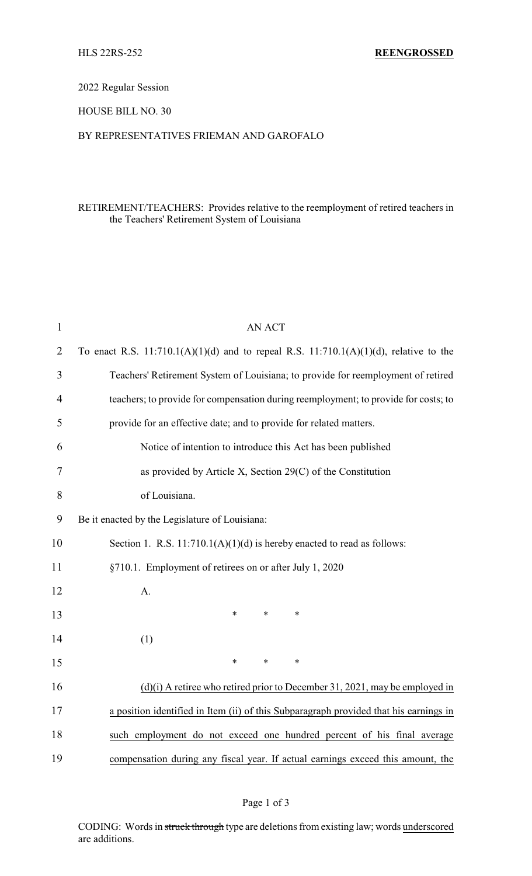## 2022 Regular Session

## HOUSE BILL NO. 30

## BY REPRESENTATIVES FRIEMAN AND GAROFALO

# RETIREMENT/TEACHERS: Provides relative to the reemployment of retired teachers in the Teachers' Retirement System of Louisiana

| $\mathbf{1}$   | <b>AN ACT</b>                                                                              |  |  |  |
|----------------|--------------------------------------------------------------------------------------------|--|--|--|
| $\overline{2}$ | To enact R.S. $11:710.1(A)(1)(d)$ and to repeal R.S. $11:710.1(A)(1)(d)$ , relative to the |  |  |  |
| 3              | Teachers' Retirement System of Louisiana; to provide for reemployment of retired           |  |  |  |
| $\overline{4}$ | teachers; to provide for compensation during reemployment; to provide for costs; to        |  |  |  |
| 5              | provide for an effective date; and to provide for related matters.                         |  |  |  |
| 6              | Notice of intention to introduce this Act has been published                               |  |  |  |
| 7              | as provided by Article X, Section 29(C) of the Constitution                                |  |  |  |
| 8              | of Louisiana.                                                                              |  |  |  |
| 9              | Be it enacted by the Legislature of Louisiana:                                             |  |  |  |
| 10             | Section 1. R.S. $11:710.1(A)(1)(d)$ is hereby enacted to read as follows:                  |  |  |  |
| 11             | §710.1. Employment of retirees on or after July 1, 2020                                    |  |  |  |
| 12             | A.                                                                                         |  |  |  |
| 13             | $\ast$<br>*<br>$\ast$                                                                      |  |  |  |
| 14             | (1)                                                                                        |  |  |  |
| 15             | *<br>*<br>$\ast$                                                                           |  |  |  |
| 16             | $(d)(i)$ A retiree who retired prior to December 31, 2021, may be employed in              |  |  |  |
| 17             | a position identified in Item (ii) of this Subparagraph provided that his earnings in      |  |  |  |
| 18             | such employment do not exceed one hundred percent of his final average                     |  |  |  |
| 19             | compensation during any fiscal year. If actual earnings exceed this amount, the            |  |  |  |
|                |                                                                                            |  |  |  |

CODING: Words in struck through type are deletions from existing law; words underscored are additions.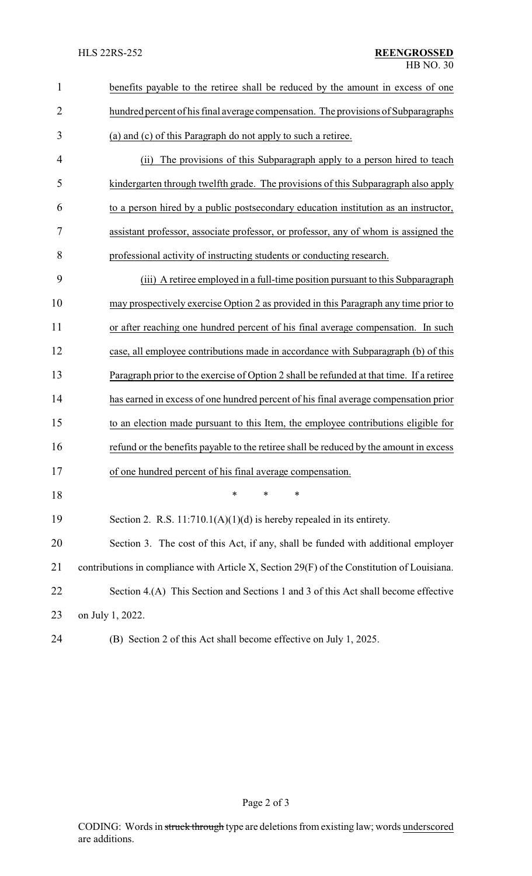| $\mathbf{1}$   | benefits payable to the retiree shall be reduced by the amount in excess of one             |
|----------------|---------------------------------------------------------------------------------------------|
| $\overline{2}$ | hundred percent of his final average compensation. The provisions of Subparagraphs          |
| 3              | (a) and (c) of this Paragraph do not apply to such a retiree.                               |
| 4              | The provisions of this Subparagraph apply to a person hired to teach<br>(i)                 |
| 5              | kindergarten through twelfth grade. The provisions of this Subparagraph also apply          |
| 6              | to a person hired by a public postsecondary education institution as an instructor,         |
| 7              | assistant professor, associate professor, or professor, any of whom is assigned the         |
| 8              | professional activity of instructing students or conducting research.                       |
| 9              | (iii) A retiree employed in a full-time position pursuant to this Subparagraph              |
| 10             | may prospectively exercise Option 2 as provided in this Paragraph any time prior to         |
| 11             | or after reaching one hundred percent of his final average compensation. In such            |
| 12             | case, all employee contributions made in accordance with Subparagraph (b) of this           |
| 13             | Paragraph prior to the exercise of Option 2 shall be refunded at that time. If a retiree    |
| 14             | has earned in excess of one hundred percent of his final average compensation prior         |
| 15             | to an election made pursuant to this Item, the employee contributions eligible for          |
| 16             | refund or the benefits payable to the retiree shall be reduced by the amount in excess      |
| 17             | of one hundred percent of his final average compensation.                                   |
| 18             | ∗<br>∗<br>*                                                                                 |
| 19             | Section 2. R.S. $11:710.1(A)(1)(d)$ is hereby repealed in its entirety.                     |
| 20             | Section 3. The cost of this Act, if any, shall be funded with additional employer           |
| 21             | contributions in compliance with Article X, Section 29(F) of the Constitution of Louisiana. |
| 22             | Section 4.(A) This Section and Sections 1 and 3 of this Act shall become effective          |
| 23             | on July 1, 2022.                                                                            |
| 24             | (B) Section 2 of this Act shall become effective on July 1, 2025.                           |

Page 2 of 3